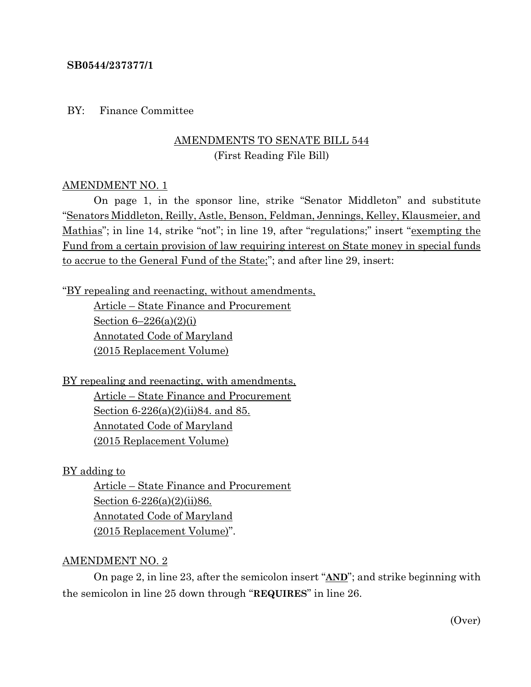### **SB0544/237377/1**

BY: Finance Committee

# AMENDMENTS TO SENATE BILL 544 (First Reading File Bill)

#### AMENDMENT NO. 1

On page 1, in the sponsor line, strike "Senator Middleton" and substitute "Senators Middleton, Reilly, Astle, Benson, Feldman, Jennings, Kelley, Klausmeier, and Mathias"; in line 14, strike "not"; in line 19, after "regulations;" insert "exempting the Fund from a certain provision of law requiring interest on State money in special funds to accrue to the General Fund of the State;"; and after line 29, insert:

"BY repealing and reenacting, without amendments,

Article – State Finance and Procurement Section  $6-226(a)(2)(i)$ Annotated Code of Maryland (2015 Replacement Volume)

BY repealing and reenacting, with amendments, Article – State Finance and Procurement

> Section 6-226(a)(2)(ii)84. and 85. Annotated Code of Maryland (2015 Replacement Volume)

BY adding to

Article – State Finance and Procurement Section 6-226(a)(2)(ii)86. Annotated Code of Maryland (2015 Replacement Volume)".

#### AMENDMENT NO. 2

On page 2, in line 23, after the semicolon insert "**AND**"; and strike beginning with the semicolon in line 25 down through "**REQUIRES**" in line 26.

(Over)